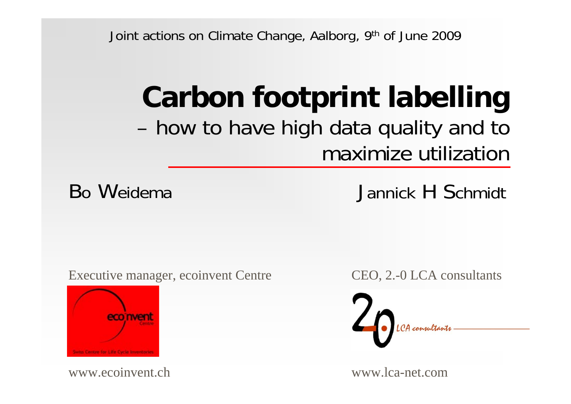Joint actions on Climate Change, Aalborg, 9th of June 2009

# **Carbon footprint labelling**  – how to have high data quality and to maximize utilization

Bo Weidema

Jannick H Schmidt

Executive manager, ecoinvent Centre



www.ecoinvent.ch

CEO, 2.-0 LCA consultants



www.lca-net.com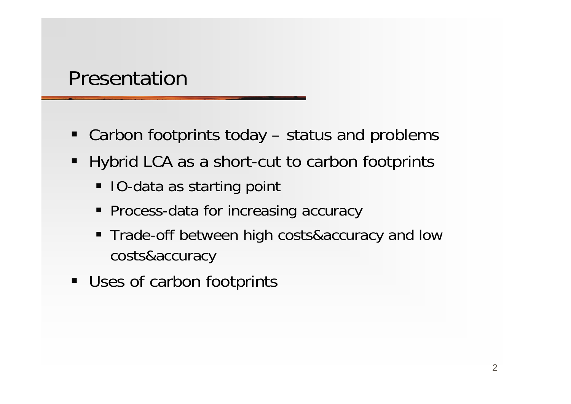#### Presentation

- $\blacksquare$ Carbon footprints today – status and problems
- $\blacksquare$  Hybrid LCA as a short-cut to carbon footprints
	- IO-data as starting point
	- **Process-data for increasing accuracy**
	- Trade-off between high costs&accuracy and low costs&accuracy
- $\blacksquare$ Uses of carbon footprints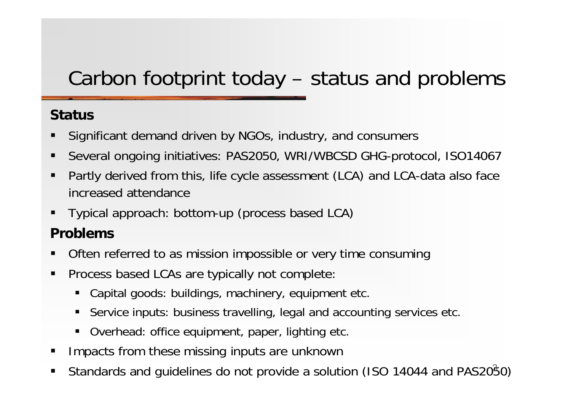## Carbon footprint today – status and problems

#### **Status**

- П Significant demand driven by NGOs, industry, and consumers
- п Several ongoing initiatives: PAS2050, WRI/WBCSD GHG-protocol, ISO14067
- a<br>M Partly derived from this, life cycle assessment (LCA) and LCA-data also face increased attendance
- a<br>M Typical approach: bottom-up (process based LCA)

#### **Problems**

- L Often referred to as mission impossible or very time consuming
- $\blacksquare$  Process based LCAs are typically not complete:
	- Capital goods: buildings, machinery, equipment etc.
	- $\blacksquare$ Service inputs: business travelling, legal and accounting services etc.
	- п Overhead: office equipment, paper, lighting etc.
- П Impacts from these missing inputs are unknown
- a<br>M Standards and guidelines do not provide a solution (ISO 14044 and PAS2050)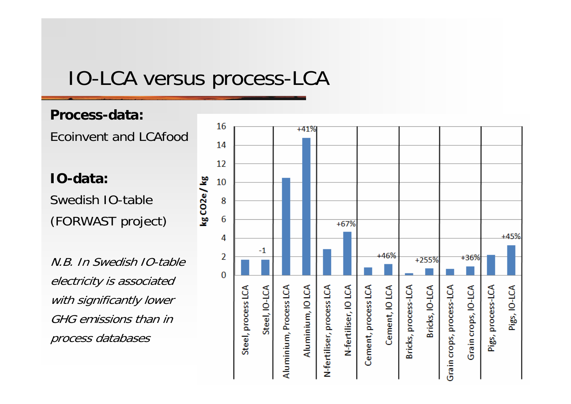#### IO-LCA versus process-LCA

#### **Process-data:**

Ecoinvent and LCAfood

**IO-data:**Swedish IO-table (FORWAST project)

N.B. In Swedish IO-table electricity is associated with significantly lower GHG emissions than in process databases

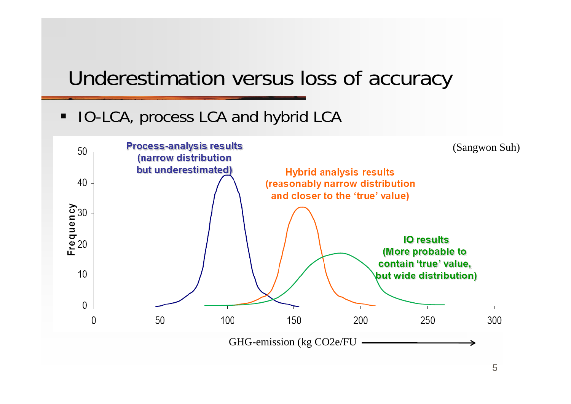#### Underestimation versus loss of accuracy

Ξ IO-LCA, process LCA and hybrid LCA

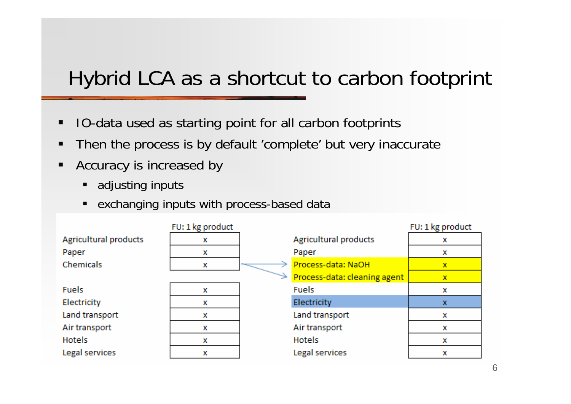### Hybrid LCA as a shortcut to carbon footprint

- $\blacksquare$ IO-data used as starting point for all carbon footprints
- $\blacksquare$ Then the process is by default 'complete' but very inaccurate
- П Accuracy is increased by
	- ٠ adjusting inputs
	- $\blacksquare$ exchanging inputs with process-based data

|                       | FU: 1 kg product |                              | FU: 1 kg product |
|-----------------------|------------------|------------------------------|------------------|
| Agricultural products | x                | <b>Agricultural products</b> | x                |
| Paper                 | x                | Paper                        | x                |
| Chemicals             | x                | Process-data: NaOH           | x                |
|                       |                  | Process-data: cleaning agent | x                |
| <b>Fuels</b>          | x                | <b>Fuels</b>                 | x                |
| Electricity           | x                | Electricity                  | x                |
| Land transport        | x                | Land transport               | x                |
| Air transport         | x                | Air transport                | x                |
| Hotels                | x                | <b>Hotels</b>                | x                |
| Legal services        | x                | Legal services               | x                |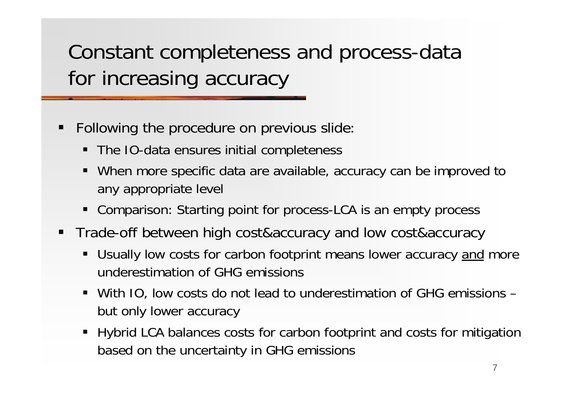Constant completeness and process-data for increasing accuracy

- e<br>Li Following the procedure on previous slide:
	- The IO-data ensures initial completeness
	- $\blacksquare$  When more specific data are available, accuracy can be improved to any appropriate level
	- $\blacksquare$ Comparison: Starting point for process-LCA is an empty process
- Trade-off between high cost&accuracy and low cost&accuracy
	- $\blacksquare$ Usually low costs for carbon footprint means lower accuracy and more underestimation of GHG emissions
	- With IO, low costs do not lead to underestimation of GHG emissions but only lower accuracy
	- $\blacksquare$  Hybrid LCA balances costs for carbon footprint and costs for mitigation based on the uncertainty in GHG emissions